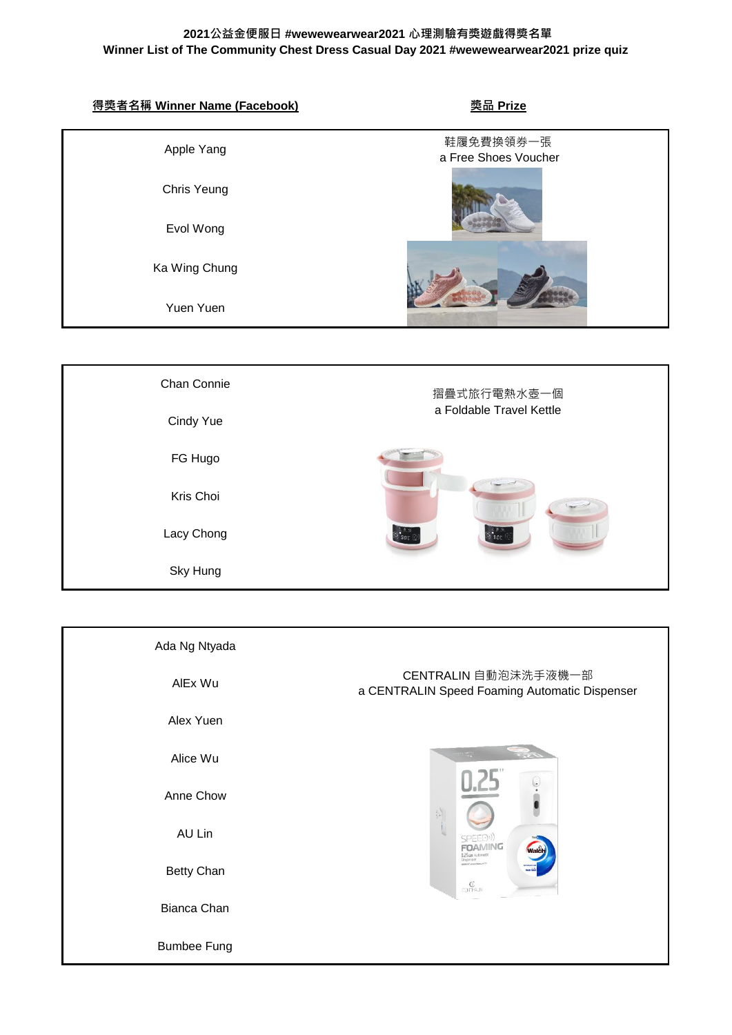| 得獎者名稱 Winner Name (Facebook) | <u> 獎品 Prize</u>                  |  |
|------------------------------|-----------------------------------|--|
| Apple Yang                   | 鞋履免費換領券一張<br>a Free Shoes Voucher |  |
| Chris Yeung                  |                                   |  |
| Evol Wong                    |                                   |  |
| Ka Wing Chung                |                                   |  |
| Yuen Yuen                    |                                   |  |
|                              |                                   |  |
| Chan Connie                  | 摺疊式旅行電熱水壺一個                       |  |
| Cindy Yue                    | a Foldable Travel Kettle          |  |
| FG Hugo                      |                                   |  |
| Kris Choi                    |                                   |  |
| Lacy Chong                   | .<br>9 O.F                        |  |
| Sky Hung                     |                                   |  |

| Ada Ng Ntyada      |                                                                                                   |
|--------------------|---------------------------------------------------------------------------------------------------|
| AIEx Wu            | CENTRALIN 自動泡沫洗手液機一部<br>a CENTRALIN Speed Foaming Automatic Dispenser                             |
| Alex Yuen          |                                                                                                   |
| Alice Wu           |                                                                                                   |
| Anne Chow          | Ŷ.                                                                                                |
| AU Lin             | SPEED <sup>()</sup><br><b>FOAMING</b><br>lalči                                                    |
| <b>Betty Chan</b>  | <b>D.25 sec Automatic</b><br>Dispenser<br><b>CALLET ANNIH RECORD</b><br>$\mathbb{C}^{\mathbb{C}}$ |
| Bianca Chan        |                                                                                                   |
| <b>Bumbee Fung</b> |                                                                                                   |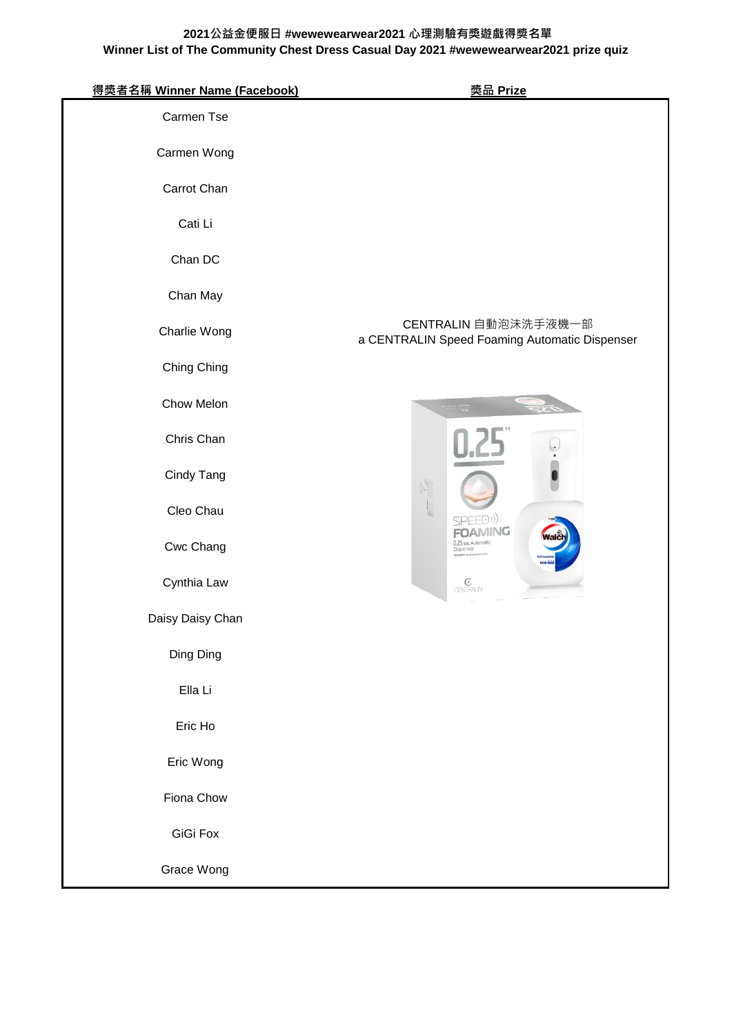| 得獎者名稱 Winner Name (Facebook) | <u> 獎品 Prize</u>                                                                  |
|------------------------------|-----------------------------------------------------------------------------------|
| Carmen Tse                   |                                                                                   |
| Carmen Wong                  |                                                                                   |
| Carrot Chan                  |                                                                                   |
| Cati Li                      |                                                                                   |
| Chan DC                      |                                                                                   |
| Chan May                     |                                                                                   |
| Charlie Wong                 | CENTRALIN 自動泡沫洗手液機一部<br>a CENTRALIN Speed Foaming Automatic Dispenser             |
| Ching Ching                  |                                                                                   |
| Chow Melon                   |                                                                                   |
| Chris Chan                   |                                                                                   |
| Cindy Tang                   | $\langle \hspace{-0.2em} \langle \hspace{-0.2em} \rangle_{\hspace{-0.2em} \circ}$ |
| Cleo Chau                    | SPEED))                                                                           |
| Cwc Chang                    | VING<br><b>0.25 sec Automatic</b><br>Dispenser                                    |
| Cynthia Law                  | $\begin{array}{c} \mathbb{C} \\ \text{CPMPAIN} \end{array}$                       |
| Daisy Daisy Chan             |                                                                                   |
| Ding Ding                    |                                                                                   |
| Ella Li                      |                                                                                   |
| Eric Ho                      |                                                                                   |
| Eric Wong                    |                                                                                   |
| Fiona Chow                   |                                                                                   |
| GiGi Fox                     |                                                                                   |
| Grace Wong                   |                                                                                   |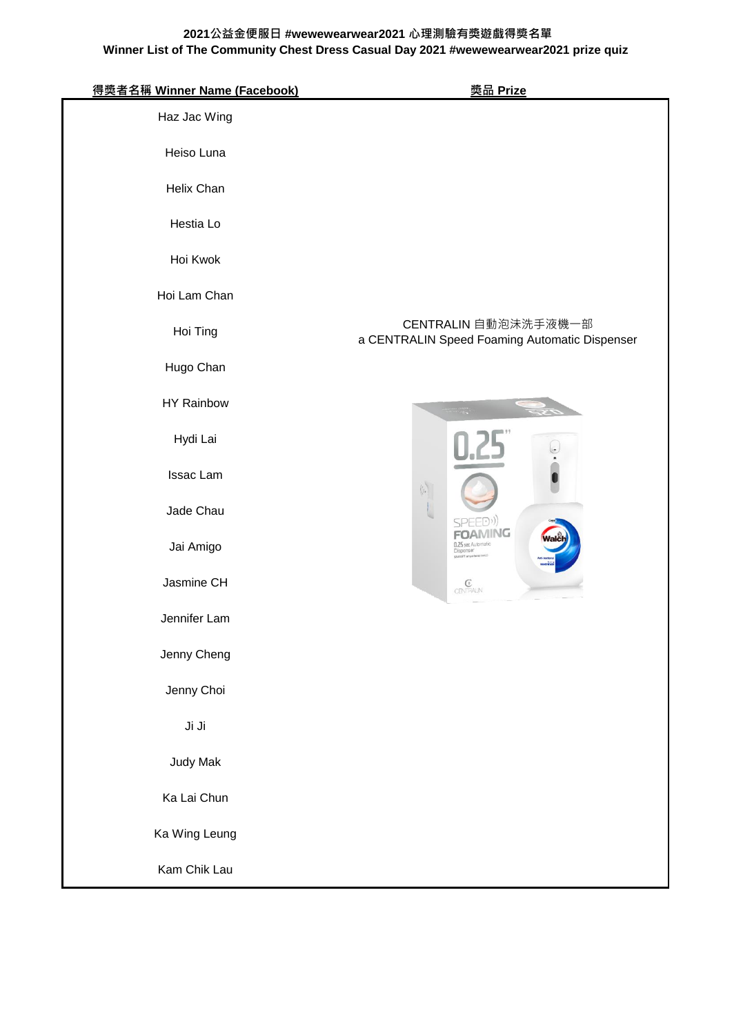| 得獎者名稱 Winner Name (Facebook) | <u> 獎品 Prize</u>                                                      |
|------------------------------|-----------------------------------------------------------------------|
| Haz Jac Wing                 |                                                                       |
| Heiso Luna                   |                                                                       |
| Helix Chan                   |                                                                       |
| Hestia Lo                    |                                                                       |
| Hoi Kwok                     |                                                                       |
| Hoi Lam Chan                 |                                                                       |
| Hoi Ting                     | CENTRALIN 自動泡沫洗手液機一部<br>a CENTRALIN Speed Foaming Automatic Dispenser |
| Hugo Chan                    |                                                                       |
| <b>HY Rainbow</b>            |                                                                       |
| Hydi Lai                     |                                                                       |
| Issac Lam                    | $\left\langle \left\langle \cdot \right\rangle \right\rangle$         |
| Jade Chau                    | SPFFD)                                                                |
| Jai Amigo                    | <b>FOAMING</b><br>1.25 sec Automatic<br>Dispenser                     |
| Jasmine CH                   | $\begin{array}{c} \mathbb{G}\\ \mathrm{CPN}\rightarrow \end{array}$   |
| Jennifer Lam                 |                                                                       |
| Jenny Cheng                  |                                                                       |
| Jenny Choi                   |                                                                       |
| Ji Ji                        |                                                                       |
| Judy Mak                     |                                                                       |
| Ka Lai Chun                  |                                                                       |
| Ka Wing Leung                |                                                                       |
| Kam Chik Lau                 |                                                                       |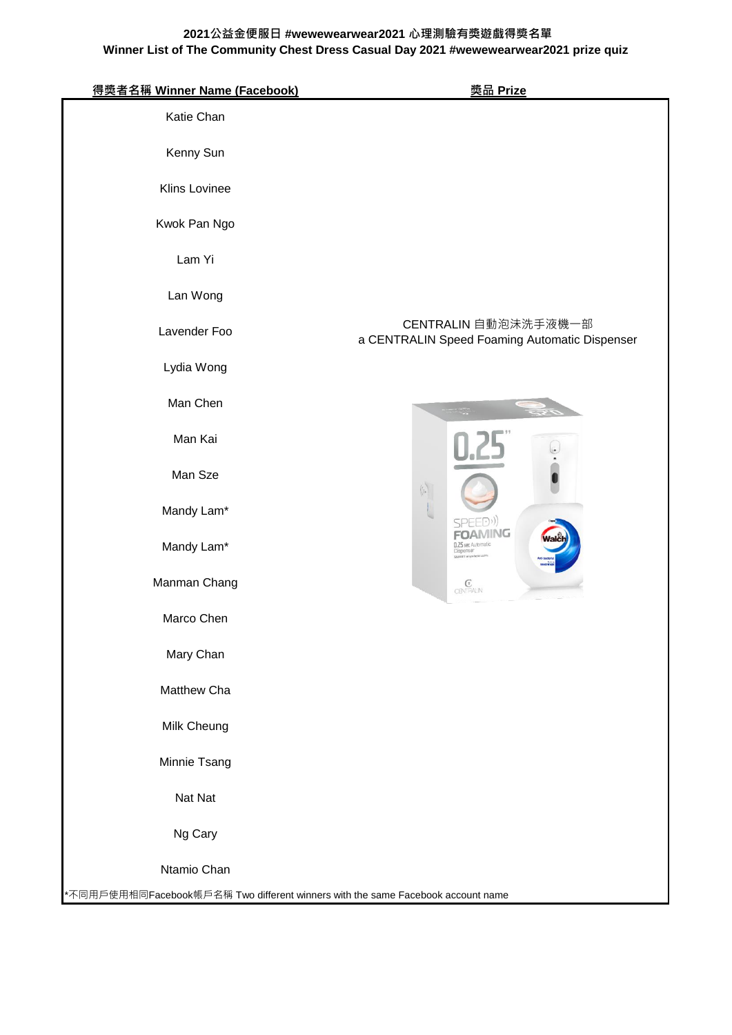| 得獎者名稱 Winner Name (Facebook)                                                    | <u> 奖品 Prize</u>                                                      |
|---------------------------------------------------------------------------------|-----------------------------------------------------------------------|
| Katie Chan                                                                      |                                                                       |
| Kenny Sun                                                                       |                                                                       |
| Klins Lovinee                                                                   |                                                                       |
| Kwok Pan Ngo                                                                    |                                                                       |
| Lam Yi                                                                          |                                                                       |
| Lan Wong                                                                        |                                                                       |
| Lavender Foo                                                                    | CENTRALIN 自動泡沫洗手液機一部<br>a CENTRALIN Speed Foaming Automatic Dispenser |
| Lydia Wong                                                                      |                                                                       |
| Man Chen                                                                        |                                                                       |
| Man Kai                                                                         |                                                                       |
| Man Sze                                                                         | $\mathcal{C}(\mathcal{C})$                                            |
| Mandy Lam*                                                                      |                                                                       |
| Mandy Lam*                                                                      | AMING<br>$-5$ cpc $A$                                                 |
| Manman Chang                                                                    | $\underset{\text{CB}}{\mathbb{G}}$                                    |
| Marco Chen                                                                      |                                                                       |
| Mary Chan                                                                       |                                                                       |
| Matthew Cha                                                                     |                                                                       |
| Milk Cheung                                                                     |                                                                       |
| Minnie Tsang                                                                    |                                                                       |
| Nat Nat                                                                         |                                                                       |
| Ng Cary                                                                         |                                                                       |
| Ntamio Chan                                                                     |                                                                       |
| *不同用戶使用相同Facebook帳戶名稱 Two different winners with the same Facebook account name |                                                                       |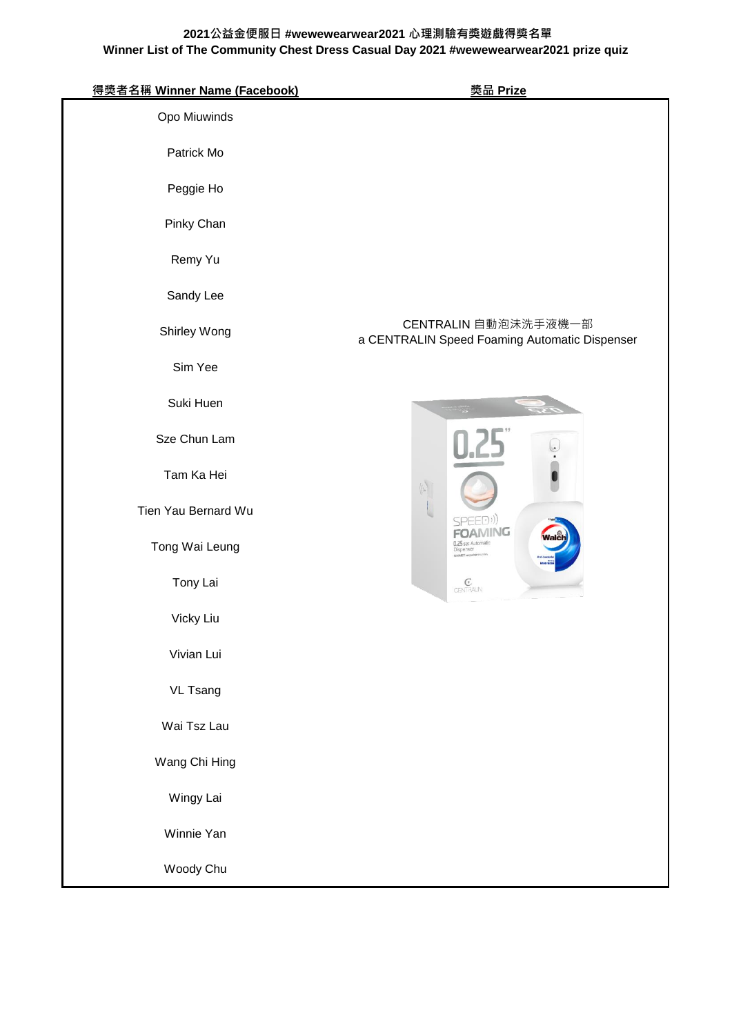| 得獎者名稱 Winner Name (Facebook) | <u> 獎品 Prize</u>                                                                                         |
|------------------------------|----------------------------------------------------------------------------------------------------------|
| Opo Miuwinds                 |                                                                                                          |
| Patrick Mo                   |                                                                                                          |
| Peggie Ho                    |                                                                                                          |
| Pinky Chan                   |                                                                                                          |
| Remy Yu                      |                                                                                                          |
| Sandy Lee                    |                                                                                                          |
| Shirley Wong                 | CENTRALIN 自動泡沫洗手液機一部<br>a CENTRALIN Speed Foaming Automatic Dispenser                                    |
| Sim Yee                      |                                                                                                          |
| Suki Huen                    |                                                                                                          |
| Sze Chun Lam                 |                                                                                                          |
| Tam Ka Hei                   | $\langle \phi \rangle$                                                                                   |
| Tien Yau Bernard Wu          | SPEED))                                                                                                  |
| Tong Wai Leung               | 1ING<br>0.25 sec Automatic<br><b>Dispenser</b>                                                           |
| Tony Lai                     | $\begin{array}{c} \mathbb{G} \\ \mathrm{CEN}\widehat{\mathbb{H}}^{\mathbb{A}\cup\mathbb{N}} \end{array}$ |
| Vicky Liu                    |                                                                                                          |
| Vivian Lui                   |                                                                                                          |
| <b>VL Tsang</b>              |                                                                                                          |
| Wai Tsz Lau                  |                                                                                                          |
| Wang Chi Hing                |                                                                                                          |
| Wingy Lai                    |                                                                                                          |
| Winnie Yan                   |                                                                                                          |
| Woody Chu                    |                                                                                                          |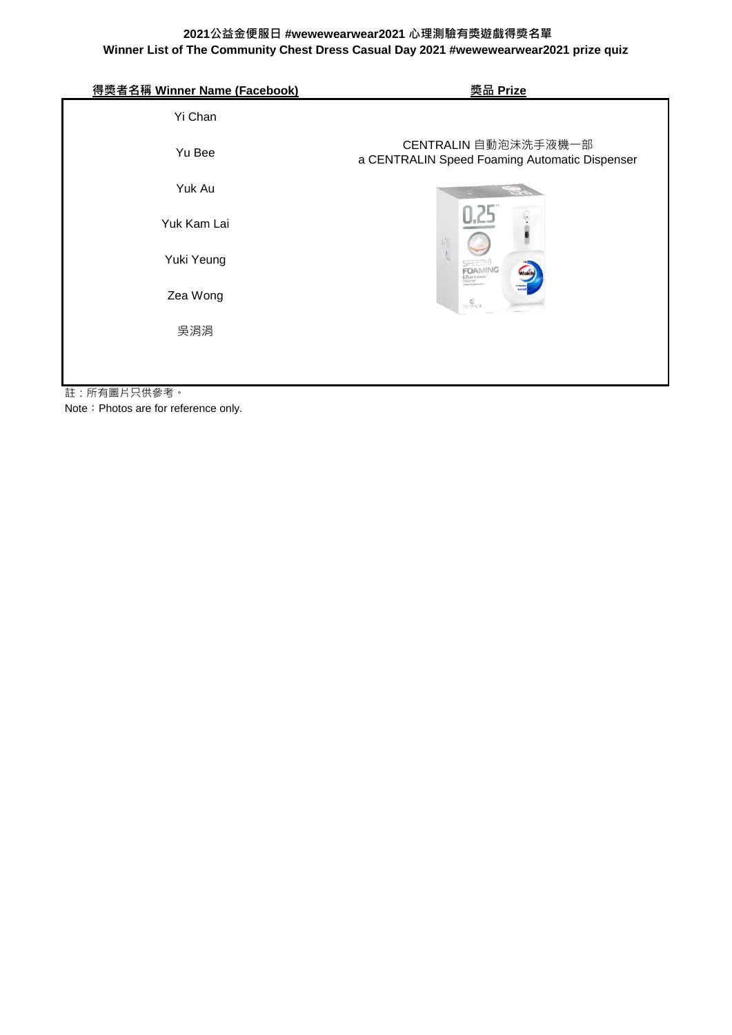| 得獎者名稱 Winner Name (Facebook)                                                                               | <u> 獎品 Prize</u>                                                                                              |  |
|------------------------------------------------------------------------------------------------------------|---------------------------------------------------------------------------------------------------------------|--|
| Yi Chan                                                                                                    |                                                                                                               |  |
| Yu Bee                                                                                                     | CENTRALIN 自動泡沫洗手液機一部<br>a CENTRALIN Speed Foaming Automatic Dispenser                                         |  |
| Yuk Au                                                                                                     |                                                                                                               |  |
| Yuk Kam Lai                                                                                                |                                                                                                               |  |
| Yuki Yeung                                                                                                 | SPEED <sup>(1)</sup><br>FOAMING<br>EL2S sec Automatic<br>Disponser                                            |  |
| Zea Wong                                                                                                   | $\mathop{\mathbb{G}}\nolimits_{\mathbb{C}\in\mathop{\rm Tr}\nolimits^{\mathbb{C}\times\mathbb{C}}\mathbb{N}}$ |  |
| 吳涓涓                                                                                                        |                                                                                                               |  |
| $\mathsf{r} \mathsf{r} + \mathsf{r} \mathsf{m} \sqcup \mathsf{m} \mathsf{m} \mathsf{m} \mathsf{m}$<br>$+1$ |                                                                                                               |  |

註:所有圖片只供參考。

Note: Photos are for reference only.